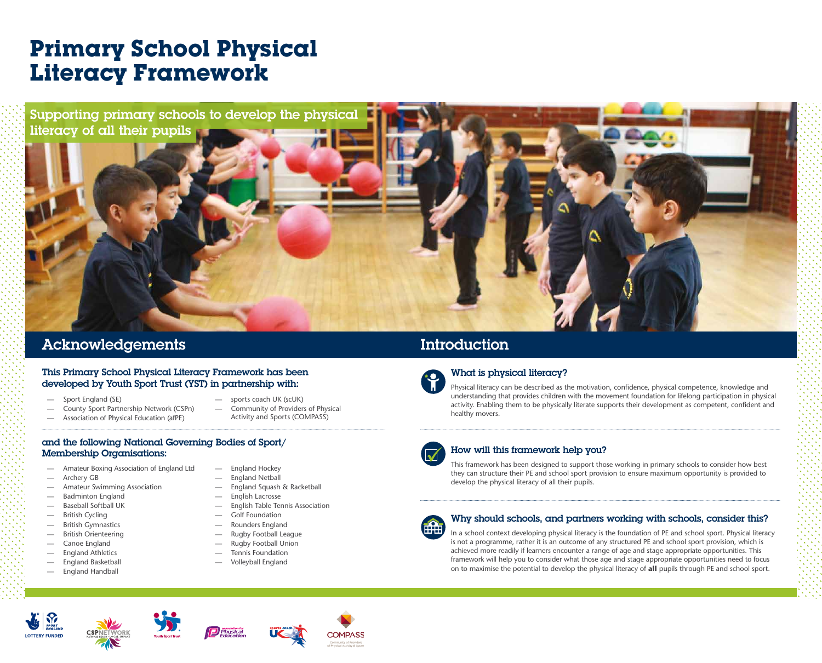- Amateur Boxing Association of England Ltd
- Archery GB
- Amateur Swimming Association
- Badminton England
- Baseball Softball UK
- British Cycling
- British Gymnastics
- British Orienteering
- Canoe England
- England Athletics
- England Basketball
- England Handball
- England Hockey
- England Netball
- England Squash & Racketball
- English Lacrosse
- English Table Tennis Association
- Golf Foundation
- Rounders England
- Rugby Football League
- Rugby Football Union
- Tennis Foundation
- Volleyball England

#### This Primary School Physical Literacy Framework has been developed by Youth Sport Trust (YST) in partnership with:

## **Primary School Physical Literacy Framework**

## Acknowledgements Introduction

What is physical literacy?

Physical literacy can be described as the motivation, confidence, physical competence, knowledge and understanding that provides children with the movement foundation for lifelong participation in physical activity. Enabling them to be physically literate supports their development as competent, confident and healthy movers.



## How will this framework help you?

Supporting primary schools to develop the physical literacy of all their pupils

> This framework has been designed to support those working in primary schools to consider how best they can structure their PE and school sport provision to ensure maximum opportunity is provided to develop the physical literacy of all their pupils.



## Why should schools, and partners working with schools, consider this?

In a school context developing physical literacy is the foundation of PE and school sport. Physical literacy is not a programme, rather it is an outcome of any structured PE and school sport provision, which is achieved more readily if learners encounter a range of age and stage appropriate opportunities. This framework will help you to consider what those age and stage appropriate opportunities need to focus on to maximise the potential to develop the physical literacy of **all** pupils through PE and school sport.





















- Sport England (SE)
- County Sport Partnership Network (CSPn)
- Association of Physical Education (afPE)
- sports coach UK (scUK)
- Community of Providers of Physical Activity and Sports (COMPASS)

#### and the following National Governing Bodies of Sport/ Membership Organisations: